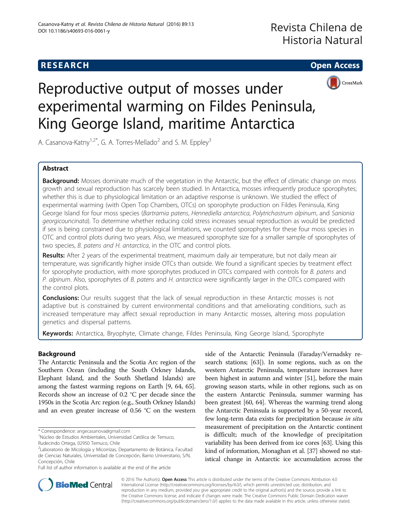

# Reproductive output of mosses under experimental warming on Fildes Peninsula, King George Island, maritime Antarctica

A. Casanova-Katny<sup>1,2\*</sup>, G. A. Torres-Mellado<sup>2</sup> and S. M. Eppley<sup>3</sup>

# Abstract

Background: Mosses dominate much of the vegetation in the Antarctic, but the effect of climatic change on moss growth and sexual reproduction has scarcely been studied. In Antarctica, mosses infrequently produce sporophytes; whether this is due to physiological limitation or an adaptive response is unknown. We studied the effect of experimental warming (with Open Top Chambers, OTCs) on sporophyte production on Fildes Peninsula, King George Island for four moss species (Bartramia patens, Hennediella antarctica, Polytrichastrum alpinum, and Sanionia georgicouncinata). To determine whether reducing cold stress increases sexual reproduction as would be predicted if sex is being constrained due to physiological limitations, we counted sporophytes for these four moss species in OTC and control plots during two years. Also, we measured sporophyte size for a smaller sample of sporophytes of two species, B. patens and H. antarctica, in the OTC and control plots.

Results: After 2 years of the experimental treatment, maximum daily air temperature, but not daily mean air temperature, was significantly higher inside OTCs than outside. We found a significant species by treatment effect for sporophyte production, with more sporophytes produced in OTCs compared with controls for B. patens and P. alpinum. Also, sporophytes of B. patens and H. antarctica were significantly larger in the OTCs compared with the control plots.

**Conclusions:** Our results suggest that the lack of sexual reproduction in these Antarctic mosses is not adaptive but is constrained by current environmental conditions and that ameliorating conditions, such as increased temperature may affect sexual reproduction in many Antarctic mosses, altering moss population genetics and dispersal patterns.

Keywords: Antarctica, Bryophyte, Climate change, Fildes Peninsula, King George Island, Sporophyte

# Background

The Antarctic Peninsula and the Scotia Arc region of the Southern Ocean (including the South Orkney Islands, Elephant Island, and the South Shetland Islands) are among the fastest warming regions on Earth [\[9](#page-7-0), [64, 65](#page-8-0)]. Records show an increase of 0.2 °C per decade since the 1950s in the Scotia Arc region (e.g., South Orkney Islands) and an even greater increase of 0.56 °C on the western

\* Correspondence: [angecasanova@gmail.com](mailto:angecasanova@gmail.com) <sup>1</sup>

Full list of author information is available at the end of the article

side of the Antarctic Peninsula (Faraday/Vernadsky research stations; [[63](#page-8-0)]). In some regions, such as on the western Antarctic Peninsula, temperature increases have been highest in autumn and winter [[51](#page-8-0)], before the main growing season starts, while in other regions, such as on the eastern Antarctic Peninsula, summer warming has been greatest [[60](#page-8-0), [64\]](#page-8-0). Whereas the warming trend along the Antarctic Peninsula is supported by a 50-year record, few long-term data exists for precipitation because in situ measurement of precipitation on the Antarctic continent is difficult; much of the knowledge of precipitation variability has been derived from ice cores [\[63\]](#page-8-0). Using this kind of information, Monaghan et al. [\[37\]](#page-7-0) showed no statistical change in Antarctic ice accumulation across the



© 2016 The Author(s). Open Access This article is distributed under the terms of the Creative Commons Attribution 4.0 International License [\(http://creativecommons.org/licenses/by/4.0/](http://creativecommons.org/licenses/by/4.0/)), which permits unrestricted use, distribution, and reproduction in any medium, provided you give appropriate credit to the original author(s) and the source, provide a link to the Creative Commons license, and indicate if changes were made. The Creative Commons Public Domain Dedication waiver [\(http://creativecommons.org/publicdomain/zero/1.0/](http://creativecommons.org/publicdomain/zero/1.0/)) applies to the data made available in this article, unless otherwise stated.

Núcleo de Estudios Ambientales, Universidad Católica de Temuco, Rudecindo Ortega, 02950 Temuco, Chile

<sup>2</sup> Laboratorio de Micología y Micorrizas, Departamento de Botánica, Facultad de Ciencias Naturales, Universidad de Concepción, Barrio Universitario, S/N, Concepción, Chile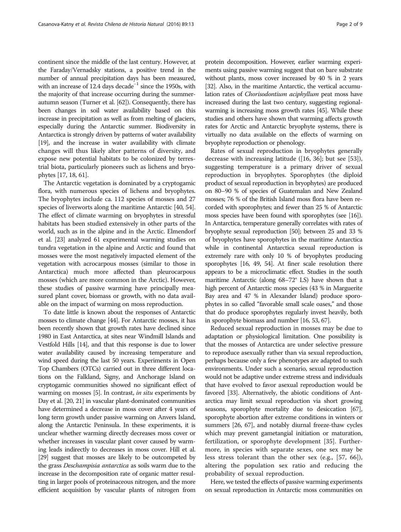continent since the middle of the last century. However, at the Faraday/Vernadsky stations, a positive trend in the number of annual precipitation days has been measured, with an increase of 12.4 days decade<sup>-1</sup> since the 1950s, with the majority of that increase occurring during the summerautumn season (Turner et al. [\[62\]](#page-8-0)). Consequently, there has been changes in soil water availability based on this increase in precipitation as well as from melting of glaciers, especially during the Antarctic summer. Biodiversity in Antarctica is strongly driven by patterns of water availability [[19](#page-7-0)], and the increase in water availability with climate changes will thus likely alter patterns of diversity, and expose new potential habitats to be colonized by terrestrial biota, particularly pioneers such as lichens and bryophytes [\[17, 18](#page-7-0), [61](#page-8-0)].

The Antarctic vegetation is dominated by a cryptogamic flora, with numerous species of lichens and bryophytes. The bryophytes include ca. 112 species of mosses and 27 species of liverworts along the maritime Antarctic [\[40, 54](#page-8-0)]. The effect of climate warming on bryophytes in stressful habitats has been studied extensively in other parts of the world, such as in the alpine and in the Arctic. Elmendorf et al. [\[23\]](#page-7-0) analyzed 61 experimental warming studies on tundra vegetation in the alpine and Arctic and found that mosses were the most negatively impacted element of the vegetation with acrocarpous mosses (similar to those in Antarctica) much more affected than pleurocarpous mosses (which are more common in the Arctic). However, these studies of passive warming have principally measured plant cover, biomass or growth, with no data available on the impact of warming on moss reproduction.

To date little is known about the responses of Antarctic mosses to climate change [\[44\]](#page-8-0). For Antarctic mosses, it has been recently shown that growth rates have declined since 1980 in East Antarctica, at sites near Windmill Islands and Vestfold Hills [[14](#page-7-0)], and that this response is due to lower water availability caused by increasing temperature and wind speed during the last 50 years. Experiments in Open Top Chambers (OTCs) carried out in three different locations on the Falkland, Signy, and Anchorage Island on cryptogamic communities showed no significant effect of warming on mosses [\[5](#page-7-0)]. In contrast, in situ experiments by Day et al. [[20, 21\]](#page-7-0) in vascular plant-dominated communities have determined a decrease in moss cover after 4 years of long term growth under passive warming on Anvers Island, along the Antarctic Peninsula. In these experiments, it is unclear whether warming directly decreases moss cover or whether increases in vascular plant cover caused by warming leads indirectly to decreases in moss cover. Hill et al. [[29](#page-7-0)] suggest that mosses are likely to be outcompeted by the grass Deschampisia antarctica as soils warm due to the increase in the decomposition rate of organic matter resulting in larger pools of proteinaceous nitrogen, and the more efficient acquisition by vascular plants of nitrogen from

protein decomposition. However, earlier warming experiments using passive warming suggest that on bare substrate without plants, moss cover increased by 40 % in 2 years [[32](#page-7-0)]. Also, in the maritime Antarctic, the vertical accumulation rates of Chorisodontium aciphyllum peat moss have increased during the last two century, suggesting regionalwarming is increasing moss growth rates [[45\]](#page-8-0). While these studies and others have shown that warming affects growth rates for Arctic and Antarctic bryophyte systems, there is virtually no data available on the effects of warming on bryophyte reproduction or phenology.

Rates of sexual reproduction in bryophytes generally decrease with increasing latitude ([[16, 36](#page-7-0)]; but see [\[53](#page-8-0)]), suggesting temperature is a primary driver of sexual reproduction in bryophytes. Sporophytes (the diploid product of sexual reproduction in bryophytes) are produced on 80–90 % of species of Guatemalan and New Zealand mosses; 76 % of the British Island moss flora have been recorded with sporophytes; and fewer than 25 % of Antarctic moss species have been found with sporophytes (see [\[16](#page-7-0)]). In Antarctica, temperature generally correlates with rates of bryophyte sexual reproduction [\[50](#page-8-0)]; between 25 and 33 % of bryophytes have sporophytes in the maritime Antarctica while in continental Antarctica sexual reproduction is extremely rare with only 10 % of bryophytes producing sporophytes [\[16](#page-7-0), [49, 54](#page-8-0)]. At finer scale resolution there appears to be a microclimatic effect. Studies in the south maritime Antarctic (along 68–72° LS) have shown that a high percent of Antarctic moss species (43 % in Marguerite Bay area and 47 % in Alexander Island) produce sporophytes in so called "favorable small scale oases," and those that do produce sporophytes regularly invest heavily, both in sporophyte biomass and number [\[16,](#page-7-0) [53, 67\]](#page-8-0).

Reduced sexual reproduction in mosses may be due to adaptation or physiological limitation. One possibility is that the mosses of Antarctica are under selective pressure to reproduce asexually rather than via sexual reproduction, perhaps because only a few phenotypes are adapted to such environments. Under such a scenario, sexual reproduction would not be adaptive under extreme stress and individuals that have evolved to favor asexual reproduction would be favored [\[33](#page-7-0)]. Alternatively, the abiotic conditions of Antarctica may limit sexual reproduction via short growing seasons, sporophyte mortality due to desiccation [\[67](#page-8-0)], sporophyte abortion after extreme conditions in winters or summers [\[26,](#page-7-0) [67\]](#page-8-0), and notably diurnal freeze-thaw cycles which may prevent gametangial initiation or maturation, fertilization, or sporophyte development [\[35](#page-7-0)]. Furthermore, in species with separate sexes, one sex may be less stress tolerant than the other sex (e.g., [[57, 66\]](#page-8-0)), altering the population sex ratio and reducing the probability of sexual reproduction.

Here, we tested the effects of passive warming experiments on sexual reproduction in Antarctic moss communities on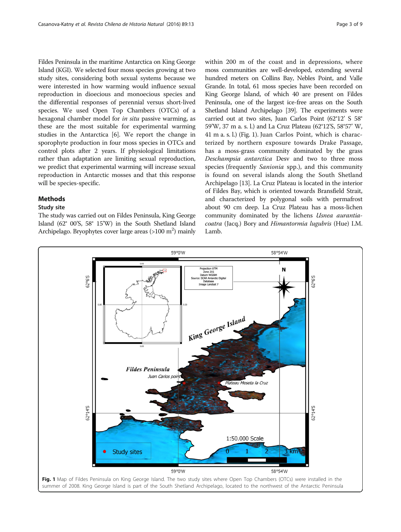Fildes Peninsula in the maritime Antarctica on King George Island (KGI). We selected four moss species growing at two study sites, considering both sexual systems because we were interested in how warming would influence sexual reproduction in dioecious and monoecious species and the differential responses of perennial versus short-lived species. We used Open Top Chambers (OTCs) of a hexagonal chamber model for in situ passive warming, as these are the most suitable for experimental warming studies in the Antarctica [[6\]](#page-7-0). We report the change in sporophyte production in four moss species in OTCs and control plots after 2 years. If physiological limitations rather than adaptation are limiting sexual reproduction, we predict that experimental warming will increase sexual reproduction in Antarctic mosses and that this response will be species-specific.

#### Methods

#### Study site

The study was carried out on Fildes Peninsula, King George Island (62° 00'S, 58° 15'W) in the South Shetland Island Archipelago. Bryophytes cover large areas (>100 m<sup>2</sup>) mainly

within 200 m of the coast and in depressions, where moss communities are well-developed, extending several hundred meters on Collins Bay, Nebles Point, and Valle Grande. In total, 61 moss species have been recorded on King George Island, of which 40 are present on Fildes Peninsula, one of the largest ice-free areas on the South Shetland Island Archipelago [\[39\]](#page-8-0). The experiments were carried out at two sites, Juan Carlos Point (62°12' S 58° 59'W, 37 m a. s. l.) and La Cruz Plateau (62°12'S, 58°57' W, 41 m a. s. l.) (Fig. 1). Juan Carlos Point, which is characterized by northern exposure towards Drake Passage, has a moss-grass community dominated by the grass Deschampsia antarctica Desv and two to three moss species (frequently Sanionia spp.), and this community is found on several islands along the South Shetland Archipelago [[13](#page-7-0)]. La Cruz Plateau is located in the interior of Fildes Bay, which is oriented towards Bransfield Strait, and characterized by polygonal soils with permafrost about 90 cm deep. La Cruz Plateau has a moss-lichen community dominated by the lichens Usnea aurantiacoatra (Jacq.) Bory and Himantormia lugubris (Hue) I.M. Lamb.

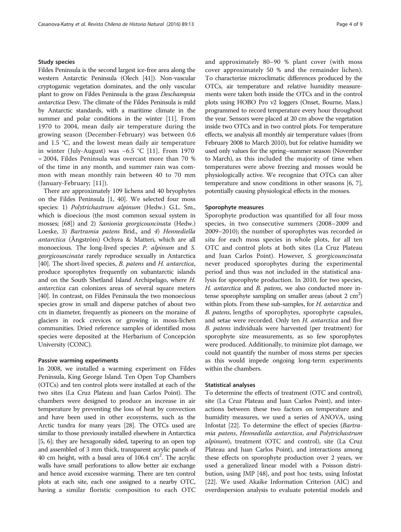#### Study species

Fildes Peninsula is the second largest ice-free area along the western Antarctic Peninsula (Olech [[41](#page-8-0)]). Non-vascular cryptogamic vegetation dominates, and the only vascular plant to grow on Fildes Peninsula is the grass Deschampsia antarctica Desv. The climate of the Fildes Peninsula is mild by Antarctic standards, with a maritime climate in the summer and polar conditions in the winter [\[11\]](#page-7-0). From 1970 to 2004, mean daily air temperature during the growing season (December-February) was between 0.6 and 1.5 °C, and the lowest mean daily air temperature in winter (July-August) was −6.5 °C [[11\]](#page-7-0). From 1970 = 2004, Fildes Peninsula was overcast more than 70 % of the time in any month, and summer rain was common with mean monthly rain between 40 to 70 mm (January-February; [[11\]](#page-7-0)).

There are approximately 109 lichens and 40 bryophytes on the Fildes Peninsula [[1,](#page-7-0) [40\]](#page-8-0). We selected four moss species: 1) Polytrichastrum alpinum (Hedw.) G.L. Sm., which is dioecious (the most common sexual system in mosses; [[68\]](#page-8-0)) and 2) Sanionia georgicouncinata (Hedw.) Loeske, 3) Bartramia patens Brid., and 4) Hennediella antarctica (Ångström) Ochyra & Matteri, which are all monoecious. The long-lived species *P. alpinum* and *S.* georgicouncinata rarely reproduce sexually in Antarctica [[40](#page-8-0)]. The short-lived species, *B. patens* and *H. antarctica*, produce sporophytes frequently on subantarctic islands and on the South Shetland Island Archipelago, where H. antarctica can colonizes areas of several square meters [[40](#page-8-0)]. In contrast, on Fildes Peninsula the two monoecious species grow in small and disperse patches of about two cm in diameter, frequently as pioneers on the moraine of glaciers in rock crevices or growing in moss-lichen communities. Dried reference samples of identified moss species were deposited at the Herbarium of Concepción University (CONC).

#### Passive warming experiments

In 2008, we installed a warming experiment on Fildes Peninsula, King George Island. Ten Open Top Chambers (OTCs) and ten control plots were installed at each of the two sites (La Cruz Plateau and Juan Carlos Point). The chambers were designed to produce an increase in air temperature by preventing the loss of heat by convection and have been used in other ecosystems, such as the Arctic tundra for many years [\[28](#page-7-0)]. The OTCs used are similar to those previously installed elsewhere in Antarctica [[5](#page-7-0), [6\]](#page-7-0); they are hexagonally sided, tapering to an open top and assembled of 3 mm thick, transparent acrylic panels of 40 cm height, with a basal area of 106.4  $\text{cm}^2$ . The acrylic walls have small perforations to allow better air exchange and hence avoid excessive warming. There are ten control plots at each site, each one assigned to a nearby OTC, having a similar floristic composition to each OTC

and approximately 80–90 % plant cover (with moss cover approximately 50 % and the remainder lichen). To characterize microclimatic differences produced by the OTCs, air temperature and relative humidity measurements were taken both inside the OTCs and in the control plots using HOBO Pro v2 loggers (Onset, Bourne, Mass.) programmed to record temperature every hour throughout the year. Sensors were placed at 20 cm above the vegetation inside two OTCs and in two control plots. For temperature effects, we analysis all monthly air temperature values (from February 2008 to March 2010), but for relative humidity we used only values for the spring–summer season (November to March), as this included the majority of time when temperatures were above freezing and mosses would be physiologically active. We recognize that OTCs can alter temperature and snow conditions in other seasons [\[6](#page-7-0), [7](#page-7-0)], potentially causing physiological effects in the mosses.

#### Sporophyte measures

Sporophyte production was quantified for all four moss species, in two consecutive summers (2008–2009 and 2009–2010); the number of sporophytes was recorded in situ for each moss species in whole plots, for all ten OTC and control plots at both sites (La Cruz Plateau and Juan Carlos Point). However, S. georgicouncinata never produced sporophytes during the experimental period and thus was not included in the statistical analysis for sporophyte production. In 2010, for two species, H. antarctica and B. patens, we also conducted more intense sporophyte sampling on smaller areas (about  $2 \text{ cm}^2$ ) within plots. From these sub-samples, for H. antarctica and B. patens, lengths of sporophytes, sporophyte capsules, and setae were recorded. Only ten H. antarctica and five B. patens individuals were harvested (per treatment) for sporophyte size measurements, as so few sporophytes were produced. Additionally, to minimize plot damage, we could not quantify the number of moss stems per species as this would impede ongoing long-term experiments within the chambers.

# Statistical analyses

To determine the effects of treatment (OTC and control), site (La Cruz Plateau and Juan Carlos Point), and interactions between these two factors on temperature and humidity measures, we used a series of ANOVA, using Infostat [\[22\]](#page-7-0). To determine the effect of species (Bartramia patens, Hennediella antarctica, and Polytrichastrum alpinum), treatment (OTC and control), site (La Cruz Plateau and Juan Carlos Point), and interactions among these effects on sporophyte production over 2 years, we used a generalized linear model with a Poisson distribution, using JMP [\[48\]](#page-8-0), and post hoc tests, using Infostat [[22](#page-7-0)]. We used Akaike Information Criterion (AIC) and overdispersion analysis to evaluate potential models and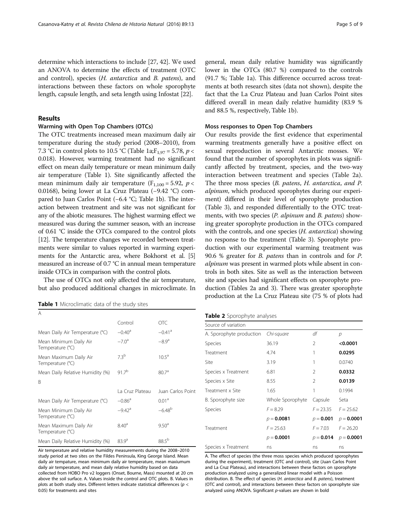<span id="page-4-0"></span>determine which interactions to include [\[27,](#page-7-0) [42](#page-8-0)]. We used an ANOVA to determine the effects of treatment (OTC and control), species (H. antarctica and B. patens), and interactions between these factors on whole sporophyte length, capsule length, and seta length using Infostat [[22](#page-7-0)].

## Results

#### Warming with Open Top Chambers (OTCs)

The OTC treatments increased mean maximum daily air temperature during the study period (2008–2010), from 7.3 °C in control plots to 10.5 °C (Table 1a;  $F_{1,97} = 5.78$ ,  $p <$ 0.018). However, warming treatment had no significant effect on mean daily temperature or mean minimum daily air temperature (Table 1). Site significantly affected the mean minimum daily air temperature ( $F_{1,100} = 5.92$ ,  $p <$ 0.0168), being lower at La Cruz Plateau (−9.42 °C) compared to Juan Carlos Point (−6.4 °C; Table 1b). The interaction between treatment and site was not significant for any of the abiotic measures. The highest warming effect we measured was during the summer season, with an increase of 0.61 °C inside the OTCs compared to the control plots [[12](#page-7-0)]. The temperature changes we recorded between treatments were similar to values reported in warming experiments for the Antarctic area, where Bokhorst et al. [[5](#page-7-0)] measured an increase of 0.7 °C in annual mean temperature inside OTCs in comparison with the control plots.

The use of OTCs not only affected the air temperature, but also produced additional changes in microclimate. In

| Table 1 Microclimatic data of the study sites |
|-----------------------------------------------|
|-----------------------------------------------|

| A                                          |                      |                      |
|--------------------------------------------|----------------------|----------------------|
|                                            | Control              | <b>OTC</b>           |
| Mean Daily Air Temperature (°C)            | $-0.40^{\circ}$      | $-0.41$ <sup>a</sup> |
| Mean Minimum Daily Air<br>Temperature (°C) | $-7.0^{\circ}$       | $-8.9a$              |
| Mean Maximum Daily Air<br>Temperature (°C) | 73 <sup>b</sup>      | $10.5^{\circ}$       |
| Mean Daily Relative Humidity (%)           | $917^{b}$            | 80.7 <sup>a</sup>    |
| R                                          |                      |                      |
|                                            | La Cruz Plateau      | Juan Carlos Point    |
| Mean Daily Air Temperature (°C)            | $-0.86$ <sup>a</sup> | 0.01 <sup>a</sup>    |
| Mean Minimum Daily Air<br>Temperature (°C) | $-9.42$ <sup>a</sup> | $-6.48^{b}$          |
| Mean Maximum Daily Air<br>Temperature (°C) | 8.40 <sup>a</sup>    | 9.50 <sup>a</sup>    |
| Mean Daily Relative Humidity (%)           | 83.9 <sup>a</sup>    | $88.5^{b}$           |

Air temperature and relative humidity measurements during the 2008–2010 study period at two sites on the Fildes Peninsula, King George Island. Mean daily air tempature, mean minimum daily air temperature, mean maxiumum daily air temperature, and mean daily relative humidity based on data collected from HOBO Pro v2 loggers (Onset, Bourne, Mass) mounted at 20 cm above the soil surface. A. Values inside the control and OTC plots. B. Values in plots at both study sites. Different letters indicate statistical differences ( $p <$ 0.05) for treatments and sites

general, mean daily relative humidity was significantly lower in the OTCs (80.7 %) compared to the controls (91.7 %; Table 1a). This difference occurred across treatments at both research sites (data not shown), despite the fact that the La Cruz Plateau and Juan Carlos Point sites differed overall in mean daily relative humidity (83.9 % and 88.5 %, respectively, Table 1b).

#### Moss responses to Open Top Chambers

Our results provide the first evidence that experimental warming treatments generally have a positive effect on sexual reproduction in several Antarctic mosses. We found that the number of sporophytes in plots was significantly affected by treatment, species, and the two-way interaction between treatment and species (Table 2a). The three moss species (B. patens, H. antarctica, and P. alpinum, which produced sporophytes during our experiment) differed in their level of sporophyte production (Table [3](#page-5-0)), and responded differentially to the OTC treatments, with two species (P. alpinum and B. patens) showing greater sporophyte production in the OTCs compared with the controls, and one species (*H. antarctica*) showing no response to the treatment (Table [3\)](#page-5-0). Sporophyte production with our experimental warming treatment was 90.6 % greater for B. patens than in controls and for P. alpinum was present in warmed plots while absent in controls in both sites. Site as well as the interaction between site and species had significant effects on sporophyte production (Tables 2a and [3](#page-5-0)). There was greater sporophyte production at the La Cruz Plateau site (75 % of plots had

|  |  |  |  | Table 2 Sporophyte analyses |
|--|--|--|--|-----------------------------|
|--|--|--|--|-----------------------------|

| Source of variation      |                  |                |              |
|--------------------------|------------------|----------------|--------------|
| A. Sporophyte production | Chi-square       | df             | р            |
| Species                  | 36.19            | 2              | < 0.0001     |
| Treatment                | 4.74             | 1              | 0.0295       |
| Site                     | 3.19             | 1              | 0.0740       |
| Species x Treatment      | 6.81             | $\mathfrak{D}$ | 0.0332       |
| Species x Site           | 8.55             | $\mathcal{P}$  | 0.0139       |
| Treatment x Site         | 1.65             | 1              | 0.1994       |
| B. Sporophyte size       | Whole Sporophyte | Capsule        | Seta         |
| Species                  | $F = 8.29$       | $F = 23.35$    | $F = 25.62$  |
|                          | $p = 0.0081$     | $p = 0.001$    | $p = 0.0001$ |
| Treatment                | $F = 25.63$      | $F = 7.03$     | $F = 26.20$  |
|                          | $p = 0.0001$     | $p = 0.014$    | $p = 0.0001$ |
| Species x Treatment      | ns               | ns             | ns           |

A. The effect of species (the three moss species which produced sporophytes during the experiment), treatment (OTC and control), site (Juan Carlos Point and La Cruz Plateau), and interactions between these factors on sporophyte production analyzed using a generalized linear model with a Poisson distribution. B. The effect of species (H. antarctica and B. patens), treatment (OTC and control), and interactions between these factors on sporophyte size analyzed using ANOVA. Significant p-values are shown in bold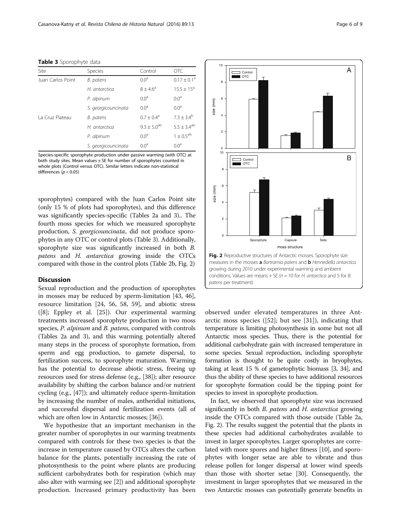#### <span id="page-5-0"></span>Table 3 Sporophyte data

| Site              | Species             | Control                     | <b>OTC</b>            |
|-------------------|---------------------|-----------------------------|-----------------------|
| Juan Carlos Point | B. patens           | 0.0 <sup>a</sup>            | $0.17 \pm 0.1^a$      |
|                   | H. antarctica       | $8 + 4.6^a$                 | $15.5 \pm 15^a$       |
|                   | P. alpinum          | 0.0 <sup>a</sup>            | 0.0 <sup>a</sup>      |
|                   | S. georgicouncinata | 0.0 <sup>a</sup>            | 0.0 <sup>a</sup>      |
| La Cruz Plateau   | B. patens           | $0.7 \pm 0.4^{\circ}$       | $7.3 \pm 3.4^{\circ}$ |
|                   | H. antarctica       | $9.3 \pm 5.0$ <sup>ab</sup> | $5.5 \pm 3.4^{ab}$    |
|                   | P. alpinum          | 0.0 <sup>a</sup>            | $1\pm0.5^{\text{ab}}$ |
|                   | S. georgicouncinata | 0.0 <sup>a</sup>            | 0.0 <sup>a</sup>      |

Species-specific sporophyte production under passive warming (with OTC) at both study sites. Mean values ± SE for number of sporophytes counted in whole plots (Control versus OTC). Similar letters indicate non-statistical differences ( $p < 0.05$ )

sporophytes) compared with the Juan Carlos Point site (only 15 % of plots had sporophytes), and this difference was significantly species-specific (Tables [2a](#page-4-0) and 3).. The fourth moss species for which we measured sporophyte production, S. georgicouncinata, did not produce sporophytes in any OTC or control plots (Table 3). Additionally, sporophyte size was significantly increased in both B. patens and H. antarctica growing inside the OTCs compared with those in the control plots (Table [2b](#page-4-0), Fig. 2)

#### **Discussion**

Sexual reproduction and the production of sporophytes in mosses may be reduced by sperm-limitation [[43, 46](#page-8-0)], resource limitation [\[24](#page-7-0), [56](#page-8-0), [58](#page-8-0), [59](#page-8-0)], and abiotic stress ([\[8\]](#page-7-0); Eppley et al. [[25\]](#page-7-0)). Our experimental warming treatments increased sporophyte production in two moss species, P. alpinum and B. patens, compared with controls (Tables [2a](#page-4-0) and 3), and this warming potentially altered many steps in the process of sporophyte formation, from sperm and egg production, to gamete dispersal, to fertilization success, to sporophyte maturation. Warming has the potential to decrease abiotic stress, freeing up resources used for stress defense (e.g., [\[38\]](#page-7-0)); alter resource availability by shifting the carbon balance and/or nutrient cycling (e.g., [[47](#page-8-0)]); and ultimately reduce sperm-limitation by increasing the number of males, antheridial initiations, and successful dispersal and fertilization events (all of which are often low in Antarctic mosses; [[36\]](#page-7-0)).

We hypothesize that an important mechanism in the greater number of sporophytes in our warming treatments compared with controls for these two species is that the increase in temperature caused by OTCs alters the carbon balance for the plants, potentially increasing the rate of photosynthesis to the point where plants are producing sufficient carbohydrates both for respiration (which may also alter with warming see [\[2\]](#page-7-0)) and additional sporophyte production. Increased primary productivity has been



10

Control OTC

observed under elevated temperatures in three Antarctic moss species ([[52\]](#page-8-0); but see [\[31](#page-7-0)]), indicating that temperature is limiting photosynthesis in some but not all Antarctic moss species. Thus, there is the potential for additional carbohydrate gain with increased temperature in some species. Sexual reproduction, including sporophyte formation is thought to be quite costly in bryophytes, taking at least 15 % of gametophytic biomass [\[3, 34](#page-7-0)], and thus the ability of these species to have additional resources for sporophyte formation could be the tipping point for species to invest in sporophyte production.

In fact, we observed that sporophyte size was increased significantly in both *B. patens* and *H. antarctica* growing inside the OTCs compared with those outside (Table [2a](#page-4-0), Fig. 2). The results suggest the potential that the plants in these species had additional carbohydrates available to invest in larger sporophytes. Larger sporophytes are correlated with more spores and higher fitness [\[10\]](#page-7-0), and sporophytes with longer setae are able to vibrate and thus release pollen for longer dispersal at lower wind speeds than those with shorter setae [\[30](#page-7-0)]. Consequently, the investment in larger sporophytes that we measured in the two Antarctic mosses can potentially generate benefits in

A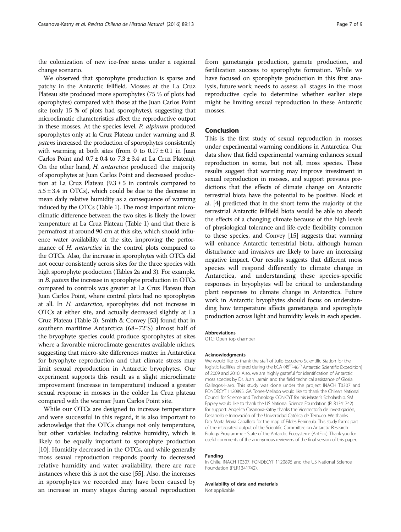the colonization of new ice-free areas under a regional change scenario.

We observed that sporophyte production is sparse and patchy in the Antarctic fellfield. Mosses at the La Cruz Plateau site produced more sporophytes (75 % of plots had sporophytes) compared with those at the Juan Carlos Point site (only 15 % of plots had sporophytes), suggesting that microclimatic characteristics affect the reproductive output in these mosses. At the species level, P. alpinum produced sporophytes only at la Cruz Plateau under warming and B. patens increased the production of sporophytes consistently with warming at both sites (from 0 to  $0.17 \pm 0.1$  in Juan Carlos Point and  $0.7 \pm 0.4$  to  $7.3 \pm 3.4$  at La Cruz Plateau). On the other hand, H. antarctica produced the majority of sporophytes at Juan Carlos Point and decreased production at La Cruz Plateau  $(9.3 \pm 5)$  in controls compared to  $5.5 \pm 3.4$  in OTCs), which could be due to the decrease in mean daily relative humidity as a consequence of warming induced by the OTCs (Table [1\)](#page-4-0). The most important microclimatic difference between the two sites is likely the lower temperature at La Cruz Plateau (Table [1](#page-4-0)) and that there is permafrost at around 90 cm at this site, which should influence water availability at the site, improving the performance of *H. antarctica* in the control plots compared to the OTCs. Also, the increase in sporophytes with OTCs did not occur consistently across sites for the three species with high sporophyte production (Tables [2a](#page-4-0) and [3](#page-5-0)). For example, in B. patens the increase in sporophyte production in OTCs compared to controls was greater at La Cruz Plateau than Juan Carlos Point, where control plots had no sporophytes at all. In H. antarctica, sporophytes did not increase in OTCs at either site, and actually decreased slightly at La Cruz Plateau (Table [3\)](#page-5-0). Smith & Convey [[53](#page-8-0)] found that in southern maritime Antarctica (68–72°S) almost half of the bryophyte species could produce sporophytes at sites where a favorable microclimate generates available niches, suggesting that micro-site differences matter in Antarctica for bryophyte reproduction and that climate stress may limit sexual reproduction in Antarctic bryophytes. Our experiment supports this result as a slight microclimate improvement (increase in temperature) induced a greater sexual response in mosses in the colder La Cruz plateau compared with the warmer Juan Carlos Point site.

While our OTCs are designed to increase temperature and were successful in this regard, it is also important to acknowledge that the OTCs change not only temperature, but other variables including relative humidity, which is likely to be equally important to sporophyte production [[10](#page-7-0)]. Humidity decreased in the OTCs, and while generally moss sexual reproduction responds poorly to decreased relative humidity and water availability, there are rare instances where this is not the case [\[55\]](#page-8-0). Also, the increases in sporophytes we recorded may have been caused by an increase in many stages during sexual reproduction from gametangia production, gamete production, and fertilization success to sporophyte formation. While we have focused on sporophyte production in this first analysis, future work needs to assess all stages in the moss reproductive cycle to determine whether earlier steps might be limiting sexual reproduction in these Antarctic mosses.

### Conclusion

This is the first study of sexual reproduction in mosses under experimental warming conditions in Antarctica. Our data show that field experimental warming enhances sexual reproduction in some, but not all, moss species. These results suggest that warming may improve investment in sexual reproduction in mosses, and support previous predictions that the effects of climate change on Antarctic terrestrial biota have the potential to be positive. Block et al. [[4\]](#page-7-0) predicted that in the short term the majority of the terrestrial Antarctic fellfield biota would be able to absorb the effects of a changing climate because of the high levels of physiological tolerance and life-cycle flexibility common to these species, and Convey [\[15](#page-7-0)] suggests that warming will enhance Antarctic terrestrial biota, although human disturbance and invasives are likely to have an increasing negative impact. Our results suggests that different moss species will respond differently to climate change in Antarctica, and understanding these species-specific responses in bryophytes will be critical to understanding plant responses to climate change in Antarctica. Future work in Antarctic bryophytes should focus on understanding how temperature affects gametangia and sporophyte production across light and humidity levels in each species.

#### Abbreviations

OTC: Open top chamber

#### Acknowledgments

We would like to thank the staff of Julio Escudero Scientific Station for the logistic facilities offered during the ECA (45<sup>th</sup>-46<sup>th</sup> Antarctic Scientific Expedition) of 2009 and 2010. Also, we are highly grateful for identification of Antarctic moss species by Dr. Juan Larraín and the field technical assistance of Gloria Gallegos-Haro. This study was done under the project INACH T0307 and FONDECYT 1120895. GA Torres-Mellado would like to thank the Chilean National Council for Science and Technology CONICYT for his Master's Scholarship. SM Eppley would like to thank the US National Science Foundation (PLR1341742) for support. Angelica Casanova-Katny thanks the Vicerrectoría de Investigación, Desarrollo e Innovación of the Universidad Católica de Temuco. We thanks Dra. Marta María Caballero for the map of Fildes Peninsula. This study forms part of the integrated output of the Scientific Committee on Antarctic Research Biology Programme - State of the Antarctic Ecosystem- (AntEco). Thank you for useful comments of the anonymous reviewers of the final version of this paper.

#### Funding

In Chile, INACH T0307, FONDECYT 1120895 and the US National Science Foundation (PLR1341742).

#### Availability of data and materials

Not applicable.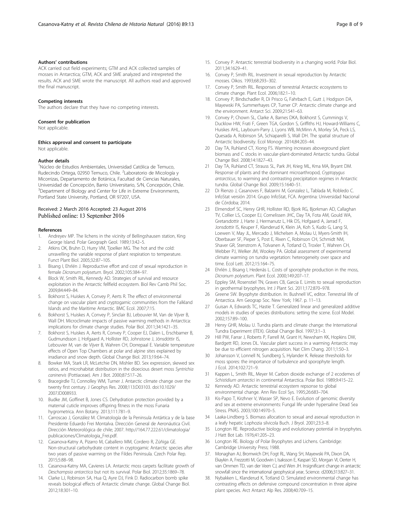#### <span id="page-7-0"></span>Authors' contributions

ACK carried out field experiments; GTM and ACK collected samples of mosses in Antarctica; GTM, ACK and SME analyzed and intrepreted the results. ACK and SME wrote the manuscript. All authors read and approved the final manuscript.

#### Competing interests

The authors declare that they have no competing interests.

#### Consent for publication

Not applicable.

#### Ethics approval and consent to participate

Not applicable.

#### Author details

<sup>1</sup>Núcleo de Estudios Ambientales, Universidad Católica de Temuco, Rudecindo Ortega, 02950 Temuco, Chile. <sup>2</sup>Laboratorio de Micología y Micorrizas, Departamento de Botánica, Facultad de Ciencias Naturales, Universidad de Concepción, Barrio Universitario, S/N, Concepción, Chile. <sup>3</sup>Department of Biology and Center for Life in Extreme Environments, Portland State University, Portland, OR 97207, USA.

### Received: 2 March 2016 Accepted: 23 August 2016 Published online: 13 September 2016

#### References

- 1. Andreyev MP. The lichens in the vicinity of Bellingshausen station, King George Island. Polar Geograph Geol. 1989;13:42–5.
- Atkins OK, Bruhn D, Hurry VM, Tjoelker MG. The hot and the cold: unravelling the variable response of plant respiration to temperature. Funct Plant Biol. 2005;32:87–105.
- 3. Bisang I, Ehrlén J. Reproductive effort and cost of sexual reproduction in female Dicranum polysetum. Bryol. 2002;105:384–97.
- 4. Block W, Smith RIL, Kennedy AD. Strategies of survival and resource exploitation in the Antarctic fellfield ecosystem. Biol Rev Camb Phil Soc. 2009;84:449–84.
- 5. Bokhorst S, Huiskes A, Convey P, Aerts R. The effect of environmental change on vascular plant and cryptogamic communities from the Falkland Islands and the Maritime Antarctic. BMC Ecol. 2007;7:15.
- 6. Bokhorst S, Huiskes A, Convey P, Sinclair BJ, Lebouvier M, Van de Vijver B, Wall DH. Microclimate impacts of passive warming methods in Antarctica: implications for climate change studies. Polar Biol. 2011;34:1421–35.
- 7. Bokhorst S, Huiskes A, Aerts R, Convey P, Cooper EJ, Dalen L, Erschbamer B, Gudmundsson J, Hofgaard A, Hollister RD, Johnstone J, Jónsdóttir IS, Lebouvier M, van de Vijver B, Wahren CH, Dorrepaal E. Variable temperature effects of Open Top Chambers at polar and alpine sites explained by irradiance and snow depth. Global Change Biol. 2013;19:64–74.
- 8. Bowker MA, Stark LR, McLetchie DN, Mishler BD. Sex expression, skewed sex ratios, and microhabitat distribution in the dioecious desert moss Syntrichia caninervis (Pottiaceae). Am J Bot. 2000;87:517–26.
- Bracegirdle TJ, Connolley WM, Turner J. Antarctic climate change over the twenty first century. J Geophys Res. 2008;113:D03103. doi:[10.1029/](http://dx.doi.org/10.1029/2007JD008933) [2007JD008933.](http://dx.doi.org/10.1029/2007JD008933)
- 10. Budke JM, Goffinet B, Jones CS. Dehydration protection provided by a maternal cuticle improves offspring fitness in the moss Funaria hygrometrica. Ann Botany. 2013;111:781–9.
- 11. Carroscao J, González M. Climatología de la Peninsula Antártica y de la base Presidente Eduardo Frei Montalva. Dirección General de Aeronáutica Civil. Dirección Meteorológica de chile; 2007. [http://164.77.222.61/climatologia/](http://164.77.222.61/climatologia/publicaciones/Climatologia_Frei.pdf) [publicaciones/Climatologia\\_Frei.pdf](http://164.77.222.61/climatologia/publicaciones/Climatologia_Frei.pdf).
- 12. Casanova-Katny A, Pizarro M, Caballero MM, Cordero R, Zúñiga GE. Non-structural carbohydrate content in cryptogamic Antarctic species after two years of passive warming on the Fildes Peninsula. Czech Polar Rep. 2015;5:88–98.
- 13. Casanova-Katny MA, Cavieres LA. Antarctic moss carpets facilitate growth of Deschampsia antarctica but not its survival. Polar Biol. 2012;35:1869–78.
- 14. Clarke LJ, Robinson SA, Hua Q, Ayre DJ, Fink D. Radiocarbon bomb spike reveals biological effects of Antarctic climate change. Global Change Biol. 2012;18:301–10.
- 15. Convey P. Antarctic terrestrial biodiversity in a changing world. Polar Biol. 2011;34:1629–41.
- 16. Convey P, Smith RIL. Investment in sexual reproduction by Antarctic mosses. Oikos. 1993;68:293–302.
- 17. Convey P, Smith RIL. Responses of terrestrial Antarctic ecosystems to climate change. Plant Ecol. 2006;182:1–10.
- 18. Convey P, Bindschadler R, Di Prisco G, Fahrbach E, Gutt J, Hodgson DA, Mayewski PA, Summerhayes CP, Turner CP. Antarctic climate change and the environment. Antarct Sci. 2009;21:541–63.
- 19. Convey P, Chown SL, Clarke A, Barnes DKA, Bokhorst S, Cummings V, Ducklow HW, Frati F, Green TGA, Gordon S, Griffiths HJ, Howard-Williams C, Huiskes AHL, Laybourn-Parry J, Lyons WB, McMinn A, Morley SA, Peck LS, Quesada A, Robinson SA, Schiaparelli S, Wall DH. The spatial structure of Antarctic biodiversity. Ecol Monogr. 2014;84:203–44.
- 20 Day TA, Ruhland CT, Xiong FS. Warming increases aboveground plant biomass and C stocks in vascular-plant-dominated Antarctic tundra. Global Change Biol. 2008;14:1827–43.
- 21 Day TA, Ruhland CT, Strauss SL, Park JH, Krieg ML, Krna MA, Bryant DM. Response of plants and the dominant microarthropod, Cryptopygus antarcticus, to warming and contrasting precipitation regimes in Antarctic tundra. Global Change Biol. 2009;15:1640–51.
- 22 Di Rienzo J, Casanoves F, Balzarini M, Gonzalez L, Tablada M, Robledo C. InfoStat versión 2014. Grupo InfoStat, FCA. Argentina: Universidad Nacional de Córdoba; 2014.
- 23 Elmendorf SC, Henry GHR, Hollister RD, Bjork RG, Bjorkman AD, Callaghan TV, Collier LS, Cooper EJ, Cornelissen JHC, Day TA, Fota AM, Gould WA, Gretarsdottir J, Harte J, Hermanutz L, Hik DS, Hofgaard A, Jarrad F, Jonsdottir IS, Keuper F, Klanderud K, Klein JA, Koh S, Kudo G, Lang SI, Loewen V, May JL, Mercado J, Michelsen A, Molau U, Myers-Smith IH, Oberbauer SF, Pieper S, Post E, Rixen C, Robinson CH, Schmidt NM, Shaver GR, Stenstrom A, Tolvanen A, Totland O, Troxler T, Wahren CH, Webber PJ, Welker JM, Wookey PA. Global assessment of experimental climate warming on tundra vegetation: heterogeneity over space and time. Ecol Lett. 2012;15:164–75.
- 24 Ehrlén J, Bisang I, Hedenäs L. Costs of sporophyte production in the moss, Dicranum polysetum. Plant Ecol. 2000;149:207–17.
- 25 Eppley SM, Rosenstiel TN, Graves CB, Garcia E. Limits to sexual reproduction in geothermal bryophytes. Int J Plant Sci. 2011;172:870–978.
- 26 Greene SW. Bryophyte distribution. In: Bushnell VC, editor. Terrestrial life of Antarctica. Am Geograp Soc. New York; 1967. p. 11–13.
- 27 Guisan A, Edwards TC, Hastie T. Generalized linear and generalized additive models in studies of species distributions: setting the scene. Ecol Model. 2002;157:89–100.
- 28 Henry GHR, Molau U. Tundra plants and climate change: the International Tundra Experiment (ITEX). Global Change Biol. 1997;3:1–3.
- 29 Hill PW, Farrar J, Roberts P, Farrell M, Grant H, Newsham KK, Hopkins DW, Bardgett RD, Jones DL. Vascular plant success in a warming Antarctic may be due to efficient nitrogen acquisition. Nat Clim Chang. 2011;1:50–3.
- 30 Johansson V, Lonnell N, Sundberg S, Hylander K. Release thresholds for moss spores: the importance of turbulence and sporophyte length. J Ecol. 2014;102:721–9.
- 31 Kappen L, Smith RIL, Meyer M. Carbon dioxide exchange of 2 ecodemes of Schistidium antarctici in continental Antarctica. Polar Biol. 1989;9:415–22.
- 32 Kennedy AD. Antarctic terrestrial ecosystem repsonse to global environmental change. Ann Rev Ecol Sys. 1995;26:683–704.
- 33 Kis-Papo T, Kirzhner V, Wasser SP, Nevo E. Evolution of genomic diversity and sex at extreme environments: Fungal life under hypersaline Dead Sea Stress. PNAS. 2003;100:14970–5.
- 34 Laaka-Lindberg S. Biomass allocation to sexual and asexual reproduction in a leafy hepatic Lophozia silvicola Buch. J Bryol. 2001;23:3–8.
- 35 Longton RE. Reproductive biology and evolutionary potential in bryophytes. J Hatt Bot Lab. 1976;41:205–23.
- 36 Longton RE. Biology of Polar Bryophytes and Lichens. Cambridge: Cambridge University Press; 1988.
- 37. Monaghan AJ, Bromwich DH, Fogt RL, Wang SH, Mayewski PA, Dixon DA, Ekaykin A, Frezzotti M, Goodwin I, Isaksson E, Kaspari SD, Morgan VI, Oerter H, van Ommen TD, van der Veen CJ, and Wen JH. Insignificant change in antarctic snowfall since the international geophysical year, Science. d2006;313:827–31.
- 38. Nybakken L, Klanderud K, Totland O. Simulated environmental change has contrasting effects on defensive compound concentration in three alpine plant species. Arct Antarct Alp Res. 2008;40:709–15.